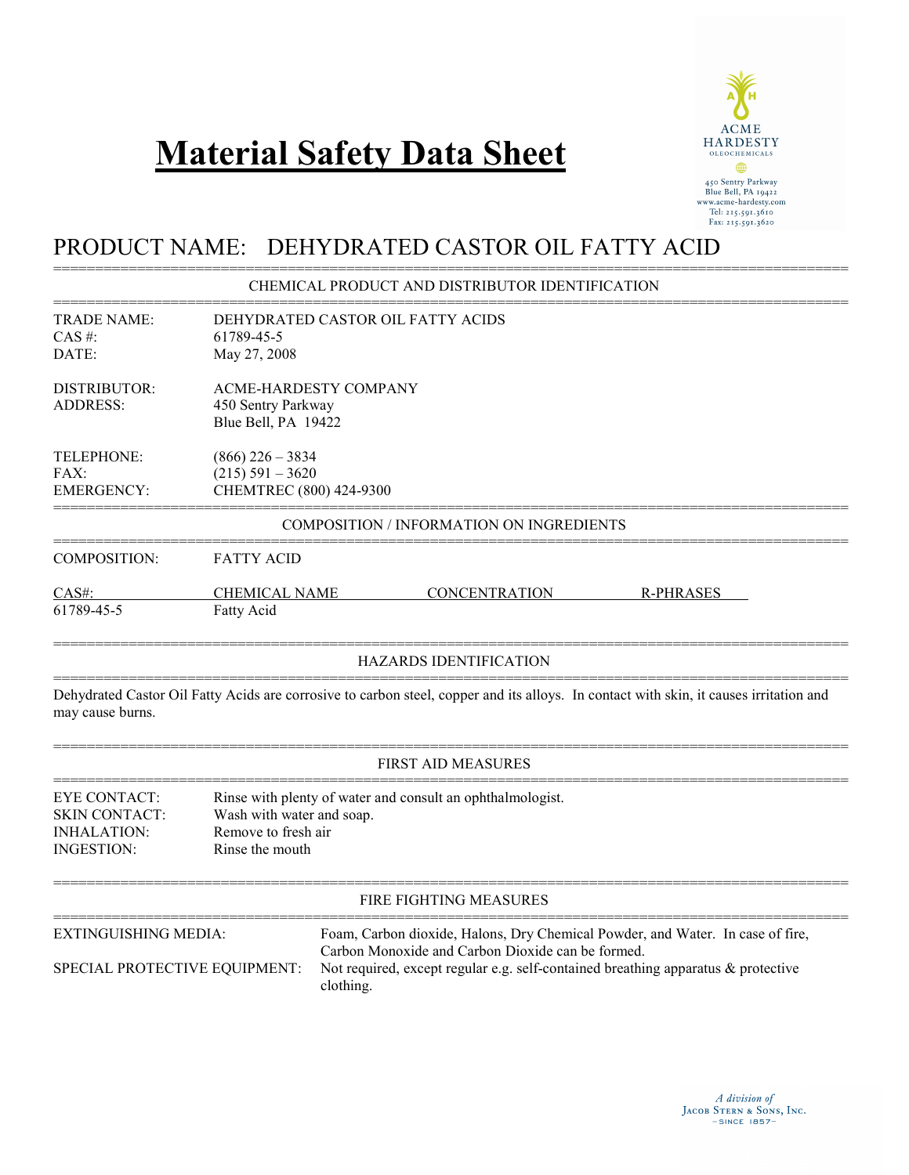# **Material Safety Data Sheet**



# PRODUCT NAME: DEHYDRATED CASTOR OIL FATTY ACID

# =============================================================================================== CHEMICAL PRODUCT AND DISTRIBUTOR IDENTIFICATION

| <b>TRADE NAME:</b><br>$CAS$ #:<br>DATE:                                                | DEHYDRATED CASTOR OIL FATTY ACIDS<br>61789-45-5<br>May 27, 2008                                                                   |                                                                     |                                                   |                                                                                                                                                                        |  |
|----------------------------------------------------------------------------------------|-----------------------------------------------------------------------------------------------------------------------------------|---------------------------------------------------------------------|---------------------------------------------------|------------------------------------------------------------------------------------------------------------------------------------------------------------------------|--|
| <b>DISTRIBUTOR:</b><br><b>ADDRESS:</b>                                                 | <b>ACME-HARDESTY COMPANY</b><br>450 Sentry Parkway<br>Blue Bell, PA 19422                                                         |                                                                     |                                                   |                                                                                                                                                                        |  |
| TELEPHONE:<br>FAX:<br><b>EMERGENCY:</b>                                                |                                                                                                                                   | $(866)$ 226 - 3834<br>$(215) 591 - 3620$<br>CHEMTREC (800) 424-9300 |                                                   |                                                                                                                                                                        |  |
|                                                                                        |                                                                                                                                   |                                                                     | COMPOSITION / INFORMATION ON INGREDIENTS          |                                                                                                                                                                        |  |
| <b>COMPOSITION:</b>                                                                    | <b>FATTY ACID</b>                                                                                                                 |                                                                     |                                                   |                                                                                                                                                                        |  |
| CAS#:<br>61789-45-5                                                                    | <b>CHEMICAL NAME</b><br>Fatty Acid                                                                                                |                                                                     | <b>CONCENTRATION</b>                              | <b>R-PHRASES</b>                                                                                                                                                       |  |
|                                                                                        |                                                                                                                                   |                                                                     | <b>HAZARDS IDENTIFICATION</b>                     |                                                                                                                                                                        |  |
| may cause burns.                                                                       |                                                                                                                                   |                                                                     |                                                   | Dehydrated Castor Oil Fatty Acids are corrosive to carbon steel, copper and its alloys. In contact with skin, it causes irritation and                                 |  |
|                                                                                        |                                                                                                                                   |                                                                     | <b>FIRST AID MEASURES</b>                         |                                                                                                                                                                        |  |
| <b>EYE CONTACT:</b><br><b>SKIN CONTACT:</b><br><b>INHALATION:</b><br><b>INGESTION:</b> | Rinse with plenty of water and consult an ophthalmologist.<br>Wash with water and soap.<br>Remove to fresh air<br>Rinse the mouth |                                                                     |                                                   |                                                                                                                                                                        |  |
|                                                                                        |                                                                                                                                   |                                                                     | FIRE FIGHTING MEASURES                            |                                                                                                                                                                        |  |
| <b>EXTINGUISHING MEDIA:</b><br>SPECIAL PROTECTIVE EQUIPMENT:                           |                                                                                                                                   | clothing.                                                           | Carbon Monoxide and Carbon Dioxide can be formed. | Foam, Carbon dioxide, Halons, Dry Chemical Powder, and Water. In case of fire,<br>Not required, except regular e.g. self-contained breathing apparatus $\&$ protective |  |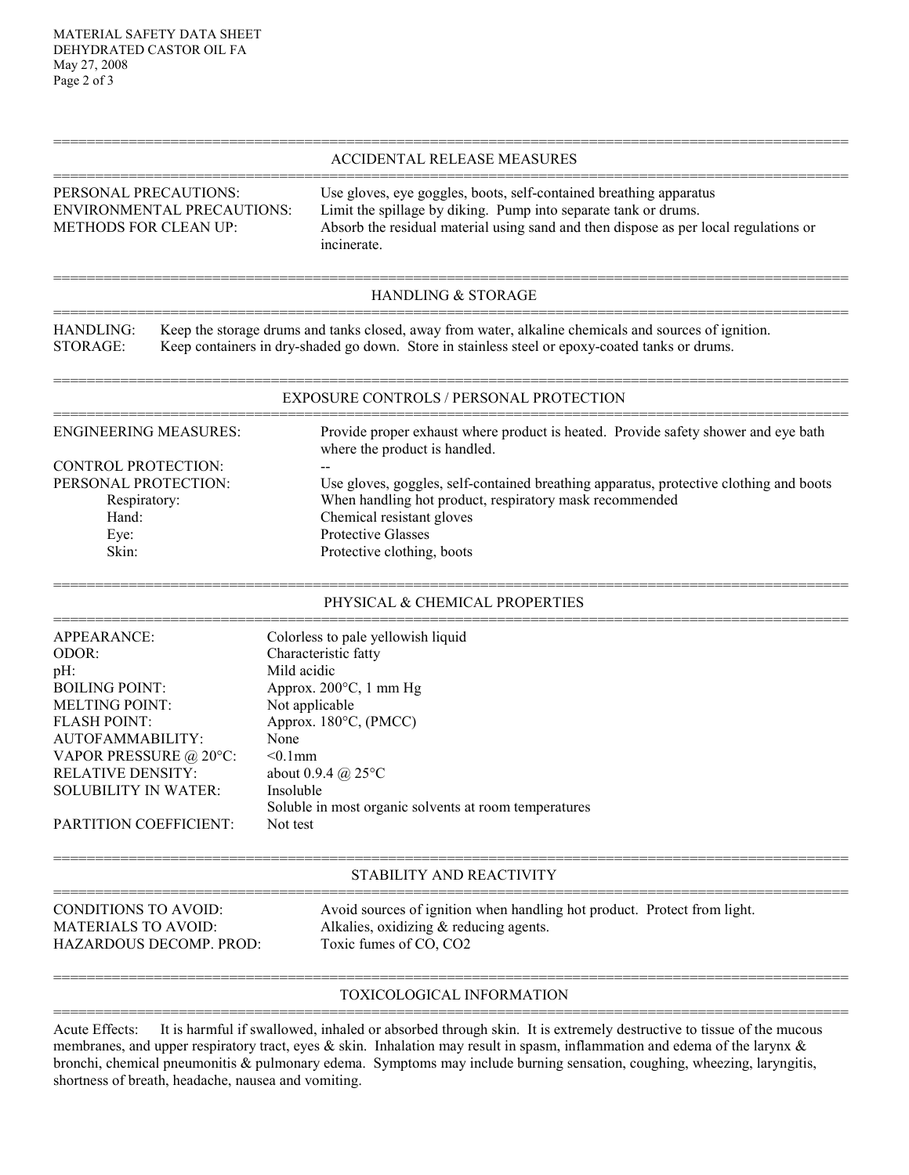# =============================================================================================== ACCIDENTAL RELEASE MEASURES

# =============================================================================================== PERSONAL PRECAUTIONS: Use gloves, eye goggles, boots, self-contained breathing apparatus ENVIRONMENTAL PRECAUTIONS: Limit the spillage by diking. Pump into separate tank or drums. METHODS FOR CLEAN UP: Absorb the residual material using sand and then dispose as per local regulations or incinerate.

# =============================================================================================== HANDLING & STORAGE ===============================================================================================

HANDLING: Keep the storage drums and tanks closed, away from water, alkaline chemicals and sources of ignition. STORAGE: Keep containers in dry-shaded go down. Store in stainless steel or epoxy-coated tanks or drums.

# =============================================================================================== EXPOSURE CONTROLS / PERSONAL PROTECTION ===============================================================================================

ENGINEERING MEASURES: Provide proper exhaust where product is heated. Provide safety shower and eye bath where the product is handled. CONTROL PROTECTION: PERSONAL PROTECTION: Use gloves, goggles, self-contained breathing apparatus, protective clothing and boots Respiratory: When handling hot product, respiratory mask recommended Hand: Chemical resistant gloves Eye: Protective Glasses Skin: Protective clothing, boots

# =============================================================================================== PHYSICAL & CHEMICAL PROPERTIES

| APPEARANCE:                   | Colorless to pale yellowish liquid                    |
|-------------------------------|-------------------------------------------------------|
| ODOR:                         | Characteristic fatty                                  |
| pH:                           | Mild acidic                                           |
| <b>BOILING POINT:</b>         | Approx. $200^{\circ}$ C, 1 mm Hg                      |
| <b>MELTING POINT:</b>         | Not applicable                                        |
| FLASH POINT:                  | Approx. $180^{\circ}$ C, (PMCC)                       |
| AUTOFAMMABILITY:              | None                                                  |
| VAPOR PRESSURE @ 20°C:        | $< 0.1$ mm                                            |
| <b>RELATIVE DENSITY:</b>      | about 0.9.4 @ $25^{\circ}$ C                          |
| SOLUBILITY IN WATER:          | Insoluble                                             |
|                               | Soluble in most organic solvents at room temperatures |
| <b>PARTITION COEFFICIENT:</b> | Not test                                              |

#### =============================================================================================== STABILITY AND REACTIVITY

| CONDITIONS TO AVOID:    | Avoid sources of ignition when handling hot product. Protect from light. |
|-------------------------|--------------------------------------------------------------------------|
| MATERIALS TO AVOID: \   | Alkalies, oxidizing $&$ reducing agents.                                 |
| HAZARDOUS DECOMP. PROD: | Toxic fumes of CO, CO <sub>2</sub>                                       |
|                         |                                                                          |

# =============================================================================================== TOXICOLOGICAL INFORMATION ===============================================================================================

Acute Effects: It is harmful if swallowed, inhaled or absorbed through skin. It is extremely destructive to tissue of the mucous membranes, and upper respiratory tract, eyes & skin. Inhalation may result in spasm, inflammation and edema of the larynx & bronchi, chemical pneumonitis & pulmonary edema. Symptoms may include burning sensation, coughing, wheezing, laryngitis, shortness of breath, headache, nausea and vomiting.